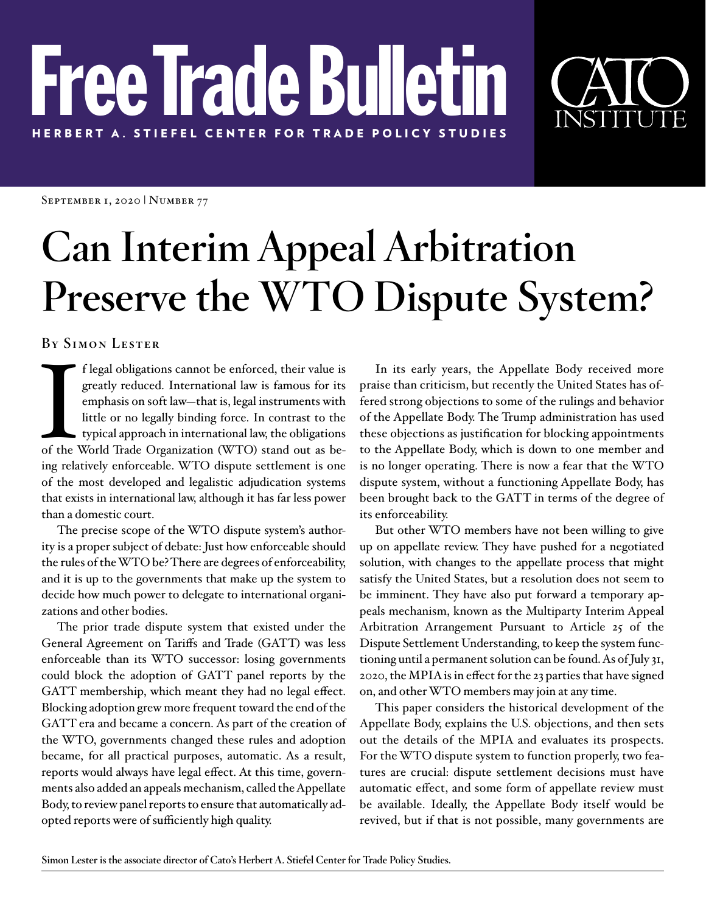# Free Trade Bullet HERBERT A. STIEFEL CENTER FOR TRADE POLICY STUDIES



SEPTEMBER 1, 2020 | NUMBER 77

# **Can Interim Appeal Arbitration Preserve the WTO Dispute System?**

**By Simon Lester**

I f legal obligations cannot be enforced, their value is greatly reduced. International law is famous for its emphasis on soft law—that is, legal instruments with little or no legally binding force. In contrast to the typi f legal obligations cannot be enforced, their value is greatly reduced. International law is famous for its emphasis on soft law—that is, legal instruments with little or no legally binding force. In contrast to the typical approach in international law, the obligations ing relatively enforceable. WTO dispute settlement is one of the most developed and legalistic adjudication systems that exists in international law, although it has far less power than a domestic court.

The precise scope of the WTO dispute system's authority is a proper subject of debate: Just how enforceable should the rules of the WTO be? There are degrees of enforceability, and it is up to the governments that make up the system to decide how much power to delegate to international organizations and other bodies.

The prior trade dispute system that existed under the General Agreement on Tariffs and Trade (GATT) was less enforceable than its WTO successor: losing governments could block the adoption of GATT panel reports by the GATT membership, which meant they had no legal effect. Blocking adoption grew more frequent toward the end of the GATT era and became a concern. As part of the creation of the WTO, governments changed these rules and adoption became, for all practical purposes, automatic. As a result, reports would always have legal effect. At this time, governments also added an appeals mechanism, called the Appellate Body, to review panel reports to ensure that automatically adopted reports were of sufficiently high quality.

In its early years, the Appellate Body received more praise than criticism, but recently the United States has offered strong objections to some of the rulings and behavior of the Appellate Body. The Trump administration has used these objections as justification for blocking appointments to the Appellate Body, which is down to one member and is no longer operating. There is now a fear that the WTO dispute system, without a functioning Appellate Body, has been brought back to the GATT in terms of the degree of its enforceability.

But other WTO members have not been willing to give up on appellate review. They have pushed for a negotiated solution, with changes to the appellate process that might satisfy the United States, but a resolution does not seem to be imminent. They have also put forward a temporary appeals mechanism, known as the Multiparty Interim Appeal Arbitration Arrangement Pursuant to Article 25 of the Dispute Settlement Understanding, to keep the system functioning until a permanent solution can be found. As of July 31, 2020, the MPIA is in effect for the 23 parties that have signed on, and other WTO members may join at any time.

This paper considers the historical development of the Appellate Body, explains the U.S. objections, and then sets out the details of the MPIA and evaluates its prospects. For the WTO dispute system to function properly, two features are crucial: dispute settlement decisions must have automatic effect, and some form of appellate review must be available. Ideally, the Appellate Body itself would be revived, but if that is not possible, many governments are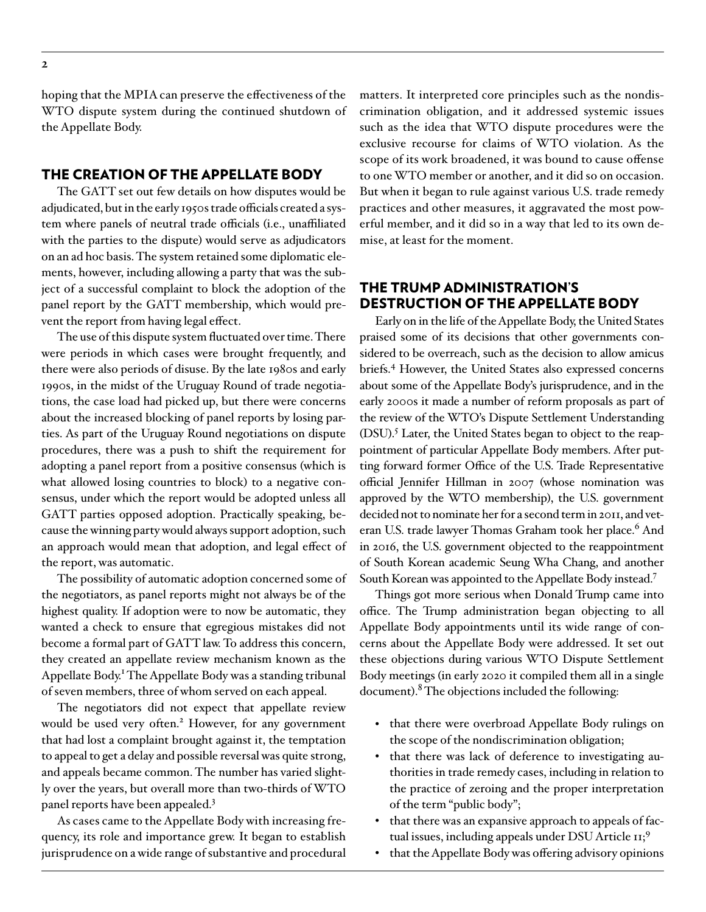hoping that the MPIA can preserve the effectiveness of the WTO dispute system during the continued shutdown of the Appellate Body.

#### THE CREATION OF THE APPELLATE BODY

The GATT set out few details on how disputes would be adjudicated, but in the early 1950s trade officials created a system where panels of neutral trade officials (i.e., unaffiliated with the parties to the dispute) would serve as adjudicators on an ad hoc basis. The system retained some diplomatic elements, however, including allowing a party that was the subject of a successful complaint to block the adoption of the panel report by the GATT membership, which would prevent the report from having legal effect.

The use of this dispute system fluctuated over time. There were periods in which cases were brought frequently, and there were also periods of disuse. By the late 1980s and early 1990s, in the midst of the Uruguay Round of trade negotiations, the case load had picked up, but there were concerns about the increased blocking of panel reports by losing parties. As part of the Uruguay Round negotiations on dispute procedures, there was a push to shift the requirement for adopting a panel report from a positive consensus (which is what allowed losing countries to block) to a negative consensus, under which the report would be adopted unless all GATT parties opposed adoption. Practically speaking, because the winning party would always support adoption, such an approach would mean that adoption, and legal effect of the report, was automatic.

The possibility of automatic adoption concerned some of the negotiators, as panel reports might not always be of the highest quality. If adoption were to now be automatic, they wanted a check to ensure that egregious mistakes did not become a formal part of GATT law. To address this concern, they created an appellate review mechanism known as the Appellate Body.<sup>1</sup> The Appellate Body was a standing tribunal of seven members, three of whom served on each appeal.

The negotiators did not expect that appellate review would be used very often.<sup>2</sup> However, for any government that had lost a complaint brought against it, the temptation to appeal to get a delay and possible reversal was quite strong, and appeals became common. The number has varied slightly over the years, but overall more than two-thirds of WTO panel reports have been appealed.3

As cases came to the Appellate Body with increasing frequency, its role and importance grew. It began to establish jurisprudence on a wide range of substantive and procedural matters. It interpreted core principles such as the nondiscrimination obligation, and it addressed systemic issues such as the idea that WTO dispute procedures were the exclusive recourse for claims of WTO violation. As the scope of its work broadened, it was bound to cause offense to one WTO member or another, and it did so on occasion. But when it began to rule against various U.S. trade remedy practices and other measures, it aggravated the most powerful member, and it did so in a way that led to its own demise, at least for the moment.

### THE TRUMP ADMINISTRATION'S DESTRUCTION OF THE APPELLATE BODY

Early on in the life of the Appellate Body, the United States praised some of its decisions that other governments considered to be overreach, such as the decision to allow amicus briefs.4 However, the United States also expressed concerns about some of the Appellate Body's jurisprudence, and in the early 2000s it made a number of reform proposals as part of the review of the WTO's Dispute Settlement Understanding (DSU).<sup>5</sup> Later, the United States began to object to the reappointment of particular Appellate Body members. After putting forward former Office of the U.S. Trade Representative official Jennifer Hillman in 2007 (whose nomination was approved by the WTO membership), the U.S. government decided not to nominate her for a second term in 2011, and veteran U.S. trade lawyer Thomas Graham took her place.<sup>6</sup> And in 2016, the U.S. government objected to the reappointment of South Korean academic Seung Wha Chang, and another South Korean was appointed to the Appellate Body instead.7

Things got more serious when Donald Trump came into office. The Trump administration began objecting to all Appellate Body appointments until its wide range of concerns about the Appellate Body were addressed. It set out these objections during various WTO Dispute Settlement Body meetings (in early 2020 it compiled them all in a single document). <sup>8</sup> The objections included the following:

- that there were overbroad Appellate Body rulings on the scope of the nondiscrimination obligation;
- that there was lack of deference to investigating authorities in trade remedy cases, including in relation to the practice of zeroing and the proper interpretation of the term "public body";
- that there was an expansive approach to appeals of factual issues, including appeals under DSU Article  $11;9$
- that the Appellate Body was offering advisory opinions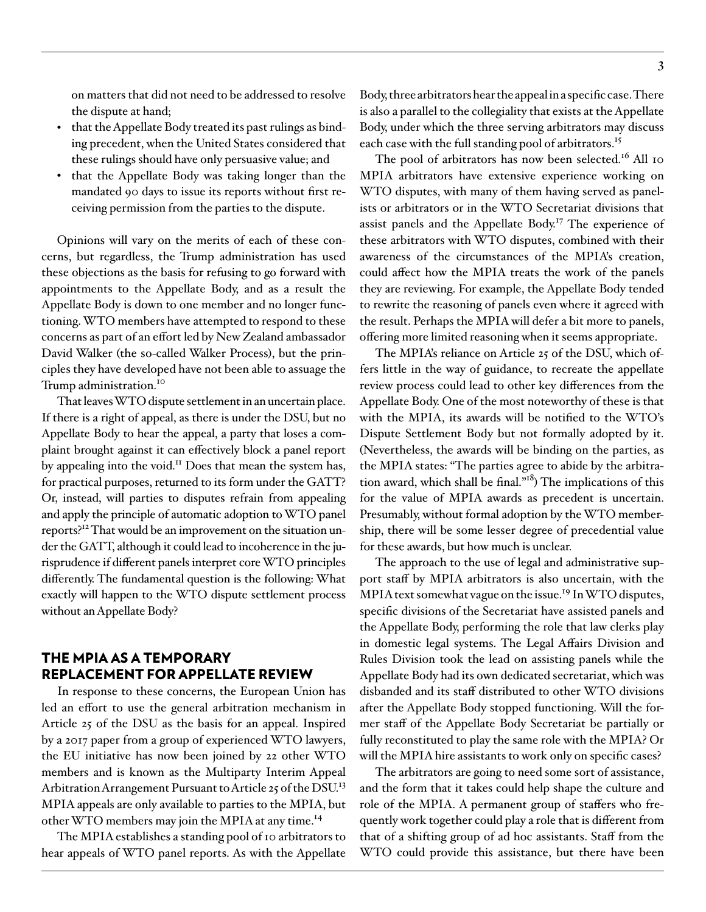on matters that did not need to be addressed to resolve the dispute at hand;

- that the Appellate Body treated its past rulings as binding precedent, when the United States considered that these rulings should have only persuasive value; and
- that the Appellate Body was taking longer than the mandated 90 days to issue its reports without first receiving permission from the parties to the dispute.

Opinions will vary on the merits of each of these concerns, but regardless, the Trump administration has used these objections as the basis for refusing to go forward with appointments to the Appellate Body, and as a result the Appellate Body is down to one member and no longer functioning. WTO members have attempted to respond to these concerns as part of an effort led by New Zealand ambassador David Walker (the so-called Walker Process), but the principles they have developed have not been able to assuage the Trump administration.<sup>10</sup>

That leaves WTO dispute settlement in an uncertain place. If there is a right of appeal, as there is under the DSU, but no Appellate Body to hear the appeal, a party that loses a complaint brought against it can effectively block a panel report by appealing into the void.<sup>11</sup> Does that mean the system has, for practical purposes, returned to its form under the GATT? Or, instead, will parties to disputes refrain from appealing and apply the principle of automatic adoption to WTO panel reports?<sup>12</sup> That would be an improvement on the situation under the GATT, although it could lead to incoherence in the jurisprudence if different panels interpret core WTO principles differently. The fundamental question is the following: What exactly will happen to the WTO dispute settlement process without an Appellate Body?

## THE MPIA AS A TEMPORARY REPLACEMENT FOR APPELLATE REVIEW

In response to these concerns, the European Union has led an effort to use the general arbitration mechanism in Article 25 of the DSU as the basis for an appeal. Inspired by a 2017 paper from a group of experienced WTO lawyers, the EU initiative has now been joined by 22 other WTO members and is known as the Multiparty Interim Appeal Arbitration Arrangement Pursuant to Article 25 of the DSU.<sup>13</sup> MPIA appeals are only available to parties to the MPIA, but other WTO members may join the MPIA at any time.<sup>14</sup>

The MPIA establishes a standing pool of 10 arbitrators to hear appeals of WTO panel reports. As with the Appellate Body, three arbitrators hear the appeal in a specific case. There is also a parallel to the collegiality that exists at the Appellate Body, under which the three serving arbitrators may discuss each case with the full standing pool of arbitrators.<sup>15</sup>

The pool of arbitrators has now been selected.<sup>16</sup> All 10 MPIA arbitrators have extensive experience working on WTO disputes, with many of them having served as panelists or arbitrators or in the WTO Secretariat divisions that assist panels and the Appellate Body.<sup>17</sup> The experience of these arbitrators with WTO disputes, combined with their awareness of the circumstances of the MPIA's creation, could affect how the MPIA treats the work of the panels they are reviewing. For example, the Appellate Body tended to rewrite the reasoning of panels even where it agreed with the result. Perhaps the MPIA will defer a bit more to panels, offering more limited reasoning when it seems appropriate.

The MPIA's reliance on Article 25 of the DSU, which offers little in the way of guidance, to recreate the appellate review process could lead to other key differences from the Appellate Body. One of the most noteworthy of these is that with the MPIA, its awards will be notified to the WTO's Dispute Settlement Body but not formally adopted by it. (Nevertheless, the awards will be binding on the parties, as the MPIA states: "The parties agree to abide by the arbitration award, which shall be final. $1^{18}$ ) The implications of this for the value of MPIA awards as precedent is uncertain. Presumably, without formal adoption by the WTO membership, there will be some lesser degree of precedential value for these awards, but how much is unclear.

The approach to the use of legal and administrative support staff by MPIA arbitrators is also uncertain, with the MPIA text somewhat vague on the issue.<sup>19</sup> In WTO disputes, specific divisions of the Secretariat have assisted panels and the Appellate Body, performing the role that law clerks play in domestic legal systems. The Legal Affairs Division and Rules Division took the lead on assisting panels while the Appellate Body had its own dedicated secretariat, which was disbanded and its staff distributed to other WTO divisions after the Appellate Body stopped functioning. Will the former staff of the Appellate Body Secretariat be partially or fully reconstituted to play the same role with the MPIA? Or will the MPIA hire assistants to work only on specific cases?

The arbitrators are going to need some sort of assistance, and the form that it takes could help shape the culture and role of the MPIA. A permanent group of staffers who frequently work together could play a role that is different from that of a shifting group of ad hoc assistants. Staff from the WTO could provide this assistance, but there have been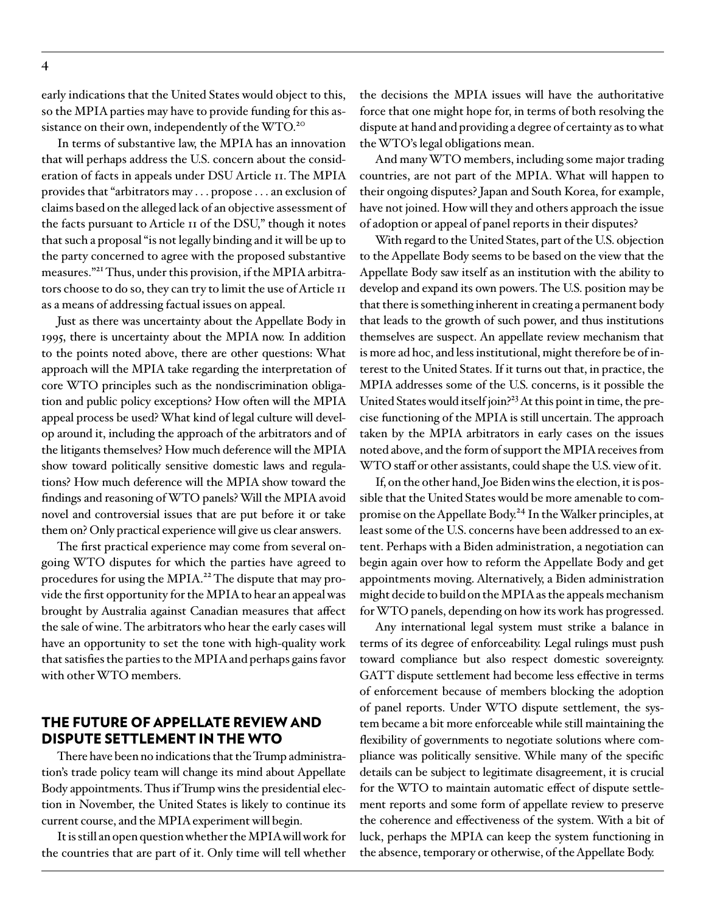early indications that the United States would object to this, so the MPIA parties may have to provide funding for this assistance on their own, independently of the WTO.<sup>20</sup>

In terms of substantive law, the MPIA has an innovation that will perhaps address the U.S. concern about the consideration of facts in appeals under DSU Article 11. The MPIA provides that "arbitrators may . . . propose . . . an exclusion of claims based on the alleged lack of an objective assessment of the facts pursuant to Article 11 of the DSU," though it notes that such a proposal "is not legally binding and it will be up to the party concerned to agree with the proposed substantive measures."21 Thus, under this provision, if the MPIA arbitrators choose to do so, they can try to limit the use of Article 11 as a means of addressing factual issues on appeal.

Just as there was uncertainty about the Appellate Body in 1995, there is uncertainty about the MPIA now. In addition to the points noted above, there are other questions: What approach will the MPIA take regarding the interpretation of core WTO principles such as the nondiscrimination obligation and public policy exceptions? How often will the MPIA appeal process be used? What kind of legal culture will develop around it, including the approach of the arbitrators and of the litigants themselves? How much deference will the MPIA show toward politically sensitive domestic laws and regulations? How much deference will the MPIA show toward the findings and reasoning of WTO panels? Will the MPIA avoid novel and controversial issues that are put before it or take them on? Only practical experience will give us clear answers.

The first practical experience may come from several ongoing WTO disputes for which the parties have agreed to procedures for using the MPIA.<sup>22</sup> The dispute that may provide the first opportunity for the MPIA to hear an appeal was brought by Australia against Canadian measures that affect the sale of wine. The arbitrators who hear the early cases will have an opportunity to set the tone with high-quality work that satisfies the parties to the MPIA and perhaps gains favor with other WTO members.

#### THE FUTURE OF APPELLATE REVIEW AND DISPUTE SETTLEMENT IN THE WTO

There have been no indications that the Trump administration's trade policy team will change its mind about Appellate Body appointments. Thus if Trump wins the presidential election in November, the United States is likely to continue its current course, and the MPIA experiment will begin.

It is still an open question whether the MPIA will work for the countries that are part of it. Only time will tell whether the decisions the MPIA issues will have the authoritative force that one might hope for, in terms of both resolving the dispute at hand and providing a degree of certainty as to what the WTO's legal obligations mean.

And many WTO members, including some major trading countries, are not part of the MPIA. What will happen to their ongoing disputes? Japan and South Korea, for example, have not joined. How will they and others approach the issue of adoption or appeal of panel reports in their disputes?

With regard to the United States, part of the U.S. objection to the Appellate Body seems to be based on the view that the Appellate Body saw itself as an institution with the ability to develop and expand its own powers. The U.S. position may be that there is something inherent in creating a permanent body that leads to the growth of such power, and thus institutions themselves are suspect. An appellate review mechanism that is more ad hoc, and less institutional, might therefore be of interest to the United States. If it turns out that, in practice, the MPIA addresses some of the U.S. concerns, is it possible the United States would itself join?<sup>23</sup> At this point in time, the precise functioning of the MPIA is still uncertain. The approach taken by the MPIA arbitrators in early cases on the issues noted above, and the form of support the MPIA receives from WTO staff or other assistants, could shape the U.S. view of it.

If, on the other hand, Joe Biden wins the election, it is possible that the United States would be more amenable to compromise on the Appellate Body.<sup>24</sup> In the Walker principles, at least some of the U.S. concerns have been addressed to an extent. Perhaps with a Biden administration, a negotiation can begin again over how to reform the Appellate Body and get appointments moving. Alternatively, a Biden administration might decide to build on the MPIA as the appeals mechanism for WTO panels, depending on how its work has progressed.

Any international legal system must strike a balance in terms of its degree of enforceability. Legal rulings must push toward compliance but also respect domestic sovereignty. GATT dispute settlement had become less effective in terms of enforcement because of members blocking the adoption of panel reports. Under WTO dispute settlement, the system became a bit more enforceable while still maintaining the flexibility of governments to negotiate solutions where compliance was politically sensitive. While many of the specific details can be subject to legitimate disagreement, it is crucial for the WTO to maintain automatic effect of dispute settlement reports and some form of appellate review to preserve the coherence and effectiveness of the system. With a bit of luck, perhaps the MPIA can keep the system functioning in the absence, temporary or otherwise, of the Appellate Body.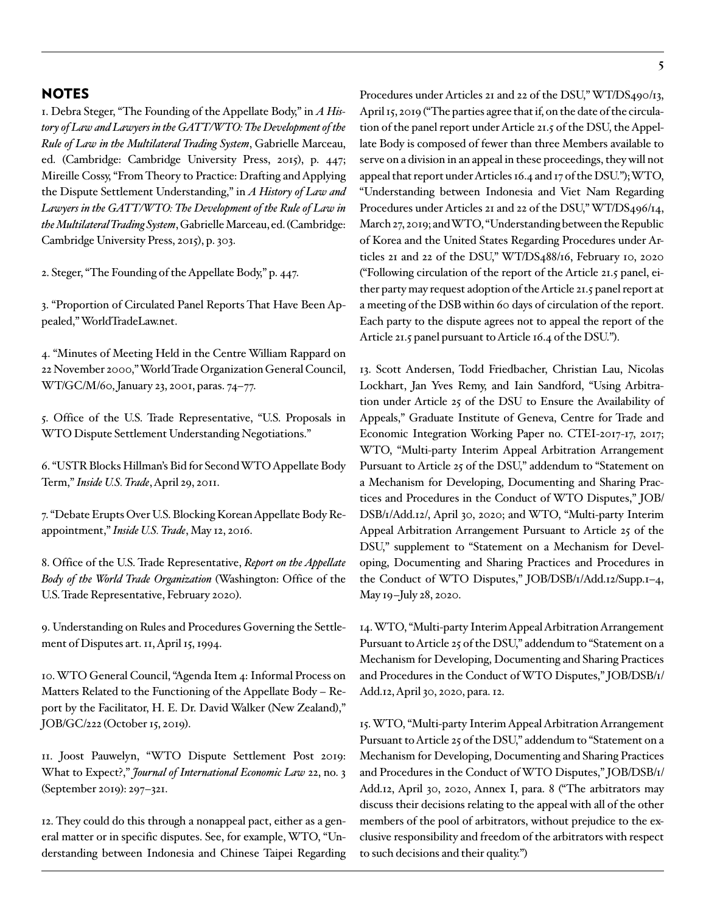#### NOTES

1. Debra Steger, "The Founding of the Appellate Body," in *A History of Law and Lawyers in the GATT/WTO: The Development of the Rule of Law in the Multilateral Trading System*, Gabrielle Marceau, ed. (Cambridge: Cambridge University Press, 2015), p. 447; Mireille Cossy, "From Theory to Practice: Drafting and Applying the Dispute Settlement Understanding," in *A History of Law and*  Lawyers in the GATT/WTO: The Development of the Rule of Law in *the Multilateral Trading System*, Gabrielle Marceau, ed. (Cambridge: Cambridge University Press, 2015), p. 303.

2. Steger, "The Founding of the Appellate Body," p. 447.

3. "Proportion of Circulated Panel Reports That Have Been Appealed," WorldTradeLaw.net.

4. "Minutes of Meeting Held in the Centre William Rappard on 22 November 2000," World Trade Organization General Council, WT/GC/M/60, January 23, 2001, paras. 74–77.

5. Office of the U.S. Trade Representative, "U.S. Proposals in WTO Dispute Settlement Understanding Negotiations."

6. "USTR Blocks Hillman's Bid for Second WTO Appellate Body Term," *Inside U.S. Trade*, April 29, 2011.

7. "Debate Erupts Over U.S. Blocking Korean Appellate Body Reappointment," *Inside U.S. Trade*, May 12, 2016.

8. Office of the U.S. Trade Representative, *Report on the Appellate Body of the World Trade Organization* (Washington: Office of the U.S. Trade Representative, February 2020).

9. Understanding on Rules and Procedures Governing the Settlement of Disputes art. 11, April 15, 1994.

10. WTO General Council, "Agenda Item 4: Informal Process on Matters Related to the Functioning of the Appellate Body *–* Report by the Facilitator, H. E. Dr. David Walker (New Zealand)," JOB/GC/222 (October 15, 2019).

11. Joost Pauwelyn, "WTO Dispute Settlement Post 2019: What to Expect?," *Journal of International Economic Law* 22, no. 3 (September 2019): 297–321.

12. They could do this through a nonappeal pact, either as a general matter or in specific disputes. See, for example, WTO, "Understanding between Indonesia and Chinese Taipei Regarding **5**

Procedures under Articles 21 and 22 of the DSU," WT/DS490/13, April 15, 2019 ("The parties agree that if, on the date of the circulation of the panel report under Article 21.5 of the DSU, the Appellate Body is composed of fewer than three Members available to serve on a division in an appeal in these proceedings, they will not appeal that report under Articles 16.4 and 17 of the DSU."); WTO, "Understanding between Indonesia and Viet Nam Regarding Procedures under Articles 21 and 22 of the DSU," WT/DS496/14, March 27, 2019; and WTO, "Understanding between the Republic of Korea and the United States Regarding Procedures under Articles 21 and 22 of the DSU," WT/DS488/16, February 10, 2020 ("Following circulation of the report of the Article 21.5 panel, either party may request adoption of the Article 21.5 panel report at a meeting of the DSB within 60 days of circulation of the report. Each party to the dispute agrees not to appeal the report of the Article 21.5 panel pursuant to Article 16.4 of the DSU.").

13. Scott Andersen, Todd Friedbacher, Christian Lau, Nicolas Lockhart, Jan Yves Remy, and Iain Sandford, "Using Arbitration under Article 25 of the DSU to Ensure the Availability of Appeals," Graduate Institute of Geneva, Centre for Trade and Economic Integration Working Paper no. CTEI-2017-17, 2017; WTO, "Multi-party Interim Appeal Arbitration Arrangement Pursuant to Article 25 of the DSU," addendum to "Statement on a Mechanism for Developing, Documenting and Sharing Practices and Procedures in the Conduct of WTO Disputes," JOB/ DSB/1/Add.12/, April 30, 2020; and WTO, "Multi-party Interim Appeal Arbitration Arrangement Pursuant to Article 25 of the DSU," supplement to "Statement on a Mechanism for Developing, Documenting and Sharing Practices and Procedures in the Conduct of WTO Disputes," JOB/DSB/1/Add.12/Supp.1–4, May 19–July 28, 2020.

14. WTO, "Multi-party Interim Appeal Arbitration Arrangement Pursuant to Article 25 of the DSU," addendum to "Statement on a Mechanism for Developing, Documenting and Sharing Practices and Procedures in the Conduct of WTO Disputes," JOB/DSB/1/ Add.12, April 30, 2020, para. 12.

15. WTO, "Multi-party Interim Appeal Arbitration Arrangement Pursuant to Article 25 of the DSU," addendum to "Statement on a Mechanism for Developing, Documenting and Sharing Practices and Procedures in the Conduct of WTO Disputes," JOB/DSB/1/ Add.12, April 30, 2020, Annex I, para. 8 ("The arbitrators may discuss their decisions relating to the appeal with all of the other members of the pool of arbitrators, without prejudice to the exclusive responsibility and freedom of the arbitrators with respect to such decisions and their quality.")